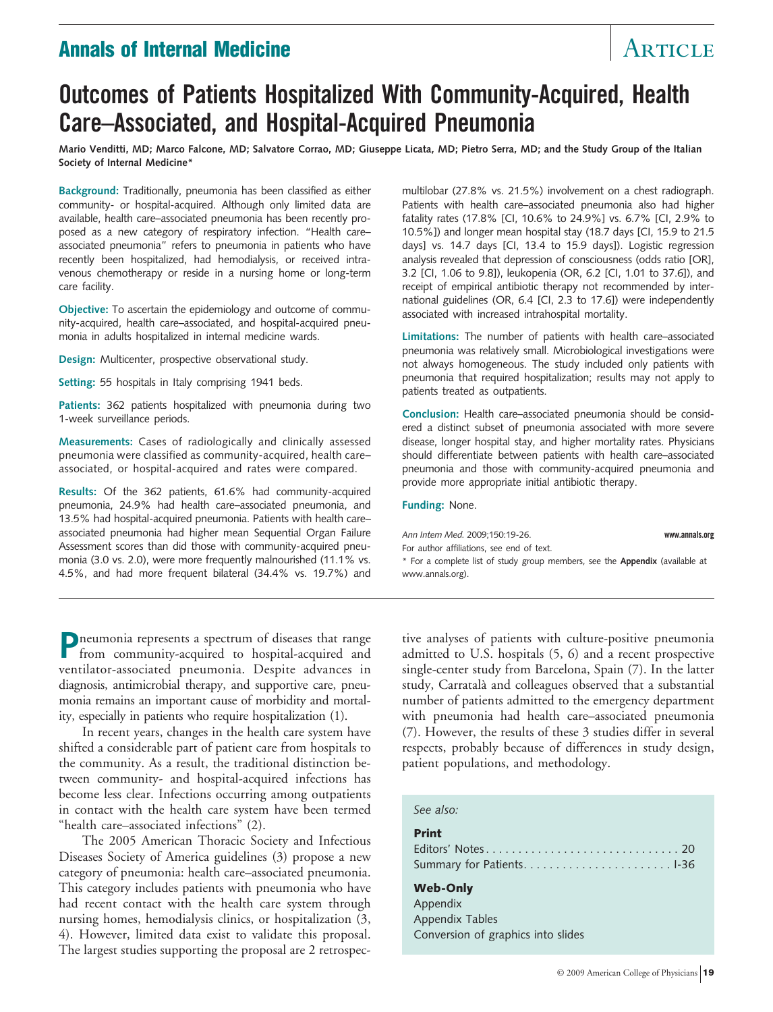# **Annals of Internal Medicine** Annal Article

# **Outcomes of Patients Hospitalized With Community-Acquired, Health Care–Associated, and Hospital-Acquired Pneumonia**

**Mario Venditti, MD; Marco Falcone, MD; Salvatore Corrao, MD; Giuseppe Licata, MD; Pietro Serra, MD; and the Study Group of the Italian Society of Internal Medicine\***

**Background:** Traditionally, pneumonia has been classified as either community- or hospital-acquired. Although only limited data are available, health care–associated pneumonia has been recently proposed as a new category of respiratory infection. "Health care– associated pneumonia" refers to pneumonia in patients who have recently been hospitalized, had hemodialysis, or received intravenous chemotherapy or reside in a nursing home or long-term care facility.

**Objective:** To ascertain the epidemiology and outcome of community-acquired, health care–associated, and hospital-acquired pneumonia in adults hospitalized in internal medicine wards.

**Design:** Multicenter, prospective observational study.

**Setting:** 55 hospitals in Italy comprising 1941 beds.

**Patients:** 362 patients hospitalized with pneumonia during two 1-week surveillance periods.

**Measurements:** Cases of radiologically and clinically assessed pneumonia were classified as community-acquired, health care– associated, or hospital-acquired and rates were compared.

**Results:** Of the 362 patients, 61.6% had community-acquired pneumonia, 24.9% had health care–associated pneumonia, and 13.5% had hospital-acquired pneumonia. Patients with health care– associated pneumonia had higher mean Sequential Organ Failure Assessment scores than did those with community-acquired pneumonia (3.0 vs. 2.0), were more frequently malnourished (11.1% vs. 4.5%, and had more frequent bilateral (34.4% vs. 19.7%) and multilobar (27.8% vs. 21.5%) involvement on a chest radiograph. Patients with health care–associated pneumonia also had higher fatality rates (17.8% [CI, 10.6% to 24.9%] vs. 6.7% [CI, 2.9% to 10.5%]) and longer mean hospital stay (18.7 days [CI, 15.9 to 21.5 days] vs. 14.7 days [CI, 13.4 to 15.9 days]). Logistic regression analysis revealed that depression of consciousness (odds ratio [OR], 3.2 [CI, 1.06 to 9.8]), leukopenia (OR, 6.2 [CI, 1.01 to 37.6]), and receipt of empirical antibiotic therapy not recommended by international guidelines (OR, 6.4 [CI, 2.3 to 17.6]) were independently associated with increased intrahospital mortality.

**Limitations:** The number of patients with health care–associated pneumonia was relatively small. Microbiological investigations were not always homogeneous. The study included only patients with pneumonia that required hospitalization; results may not apply to patients treated as outpatients.

**Conclusion:** Health care–associated pneumonia should be considered a distinct subset of pneumonia associated with more severe disease, longer hospital stay, and higher mortality rates. Physicians should differentiate between patients with health care–associated pneumonia and those with community-acquired pneumonia and provide more appropriate initial antibiotic therapy.

**Funding:** None.

*Ann Intern Med.* 2009;150:19-26. **www.annals.org** For author affiliations, see end of text.

\* For a complete list of study group members, see the **Appendix** (available at www.annals.org).

**P** neumonia represents a spectrum of diseases that range from community-acquired to hospital-acquired and ventilator-associated pneumonia. Despite advances in diagnosis, antimicrobial therapy, and supportive care, pneumonia remains an important cause of morbidity and mortality, especially in patients who require hospitalization (1).

In recent years, changes in the health care system have shifted a considerable part of patient care from hospitals to the community. As a result, the traditional distinction between community- and hospital-acquired infections has become less clear. Infections occurring among outpatients in contact with the health care system have been termed "health care–associated infections" (2).

The 2005 American Thoracic Society and Infectious Diseases Society of America guidelines (3) propose a new category of pneumonia: health care–associated pneumonia. This category includes patients with pneumonia who have had recent contact with the health care system through nursing homes, hemodialysis clinics, or hospitalization (3, 4). However, limited data exist to validate this proposal. The largest studies supporting the proposal are 2 retrospective analyses of patients with culture-positive pneumonia admitted to U.S. hospitals (5, 6) and a recent prospective single-center study from Barcelona, Spain (7). In the latter study, Carratala` and colleagues observed that a substantial number of patients admitted to the emergency department with pneumonia had health care–associated pneumonia (7). However, the results of these 3 studies differ in several respects, probably because of differences in study design, patient populations, and methodology.

#### *See also:*

| <b>Print</b> |  |
|--------------|--|
|              |  |
|              |  |

**Web-Only**

Appendix Appendix Tables Conversion of graphics into slides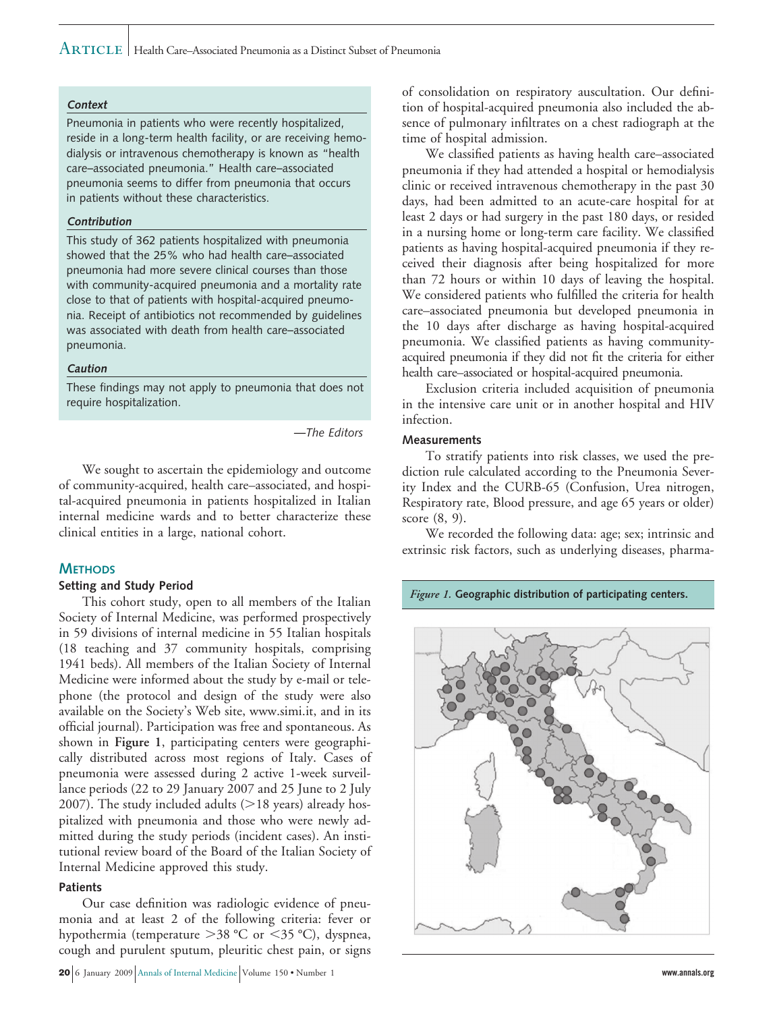### $\mathrm{ARTICE}$  | Health Care–Associated Pneumonia as a Distinct Subset of Pneumonia

#### **Context**

Pneumonia in patients who were recently hospitalized, reside in a long-term health facility, or are receiving hemodialysis or intravenous chemotherapy is known as "health care–associated pneumonia." Health care–associated pneumonia seems to differ from pneumonia that occurs in patients without these characteristics.

#### **Contribution**

This study of 362 patients hospitalized with pneumonia showed that the 25% who had health care–associated pneumonia had more severe clinical courses than those with community-acquired pneumonia and a mortality rate close to that of patients with hospital-acquired pneumonia. Receipt of antibiotics not recommended by guidelines was associated with death from health care–associated pneumonia.

#### **Caution**

These findings may not apply to pneumonia that does not require hospitalization.

*—The Editors*

We sought to ascertain the epidemiology and outcome of community-acquired, health care–associated, and hospital-acquired pneumonia in patients hospitalized in Italian internal medicine wards and to better characterize these clinical entities in a large, national cohort.

#### **METHODS**

#### **Setting and Study Period**

This cohort study, open to all members of the Italian Society of Internal Medicine, was performed prospectively in 59 divisions of internal medicine in 55 Italian hospitals (18 teaching and 37 community hospitals, comprising 1941 beds). All members of the Italian Society of Internal Medicine were informed about the study by e-mail or telephone (the protocol and design of the study were also available on the Society's Web site, www.simi.it, and in its official journal). Participation was free and spontaneous. As shown in **Figure 1**, participating centers were geographically distributed across most regions of Italy. Cases of pneumonia were assessed during 2 active 1-week surveillance periods (22 to 29 January 2007 and 25 June to 2 July 2007). The study included adults  $(>18$  years) already hospitalized with pneumonia and those who were newly admitted during the study periods (incident cases). An institutional review board of the Board of the Italian Society of Internal Medicine approved this study.

#### **Patients**

Our case definition was radiologic evidence of pneumonia and at least 2 of the following criteria: fever or hypothermia (temperature >38 °C or <35 °C), dyspnea, cough and purulent sputum, pleuritic chest pain, or signs

**20** 6 January 2009 Annals of Internal Medicine Volume 150 • Number 1 **www.annals.org**

of consolidation on respiratory auscultation. Our definition of hospital-acquired pneumonia also included the absence of pulmonary infiltrates on a chest radiograph at the time of hospital admission.

We classified patients as having health care–associated pneumonia if they had attended a hospital or hemodialysis clinic or received intravenous chemotherapy in the past 30 days, had been admitted to an acute-care hospital for at least 2 days or had surgery in the past 180 days, or resided in a nursing home or long-term care facility. We classified patients as having hospital-acquired pneumonia if they received their diagnosis after being hospitalized for more than 72 hours or within 10 days of leaving the hospital. We considered patients who fulfilled the criteria for health care–associated pneumonia but developed pneumonia in the 10 days after discharge as having hospital-acquired pneumonia. We classified patients as having communityacquired pneumonia if they did not fit the criteria for either health care–associated or hospital-acquired pneumonia.

Exclusion criteria included acquisition of pneumonia in the intensive care unit or in another hospital and HIV infection.

#### **Measurements**

To stratify patients into risk classes, we used the prediction rule calculated according to the Pneumonia Severity Index and the CURB-65 (Confusion, Urea nitrogen, Respiratory rate, Blood pressure, and age 65 years or older) score (8, 9).

We recorded the following data: age; sex; intrinsic and extrinsic risk factors, such as underlying diseases, pharma-

*Figure 1.* **Geographic distribution of participating centers.**

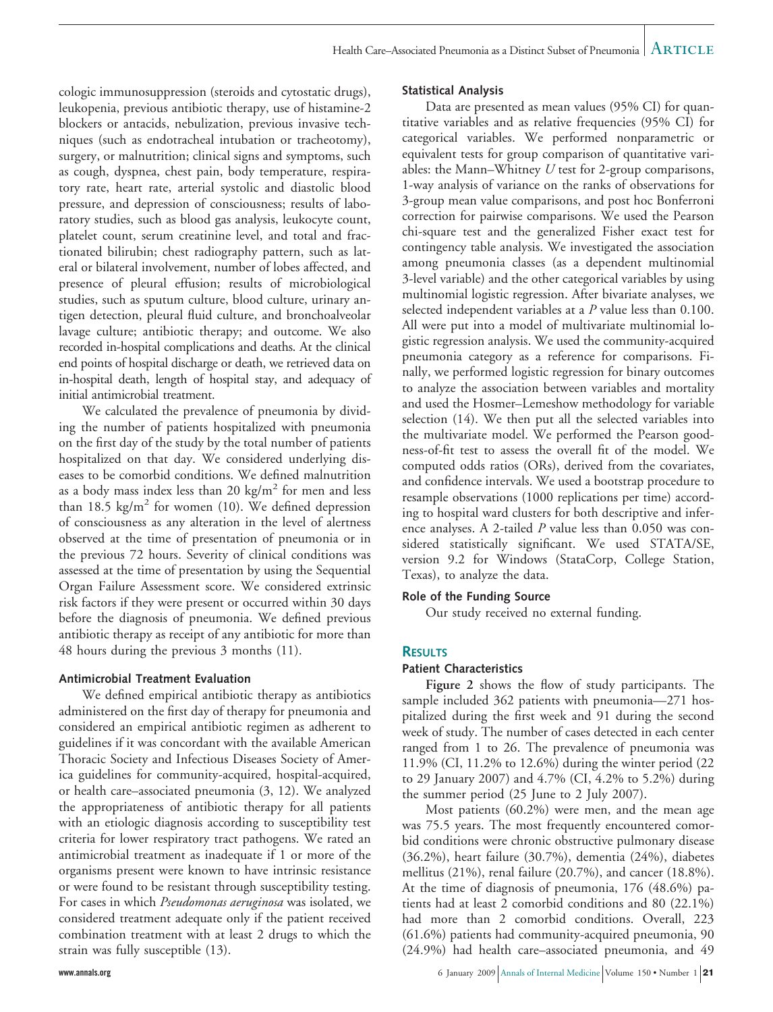cologic immunosuppression (steroids and cytostatic drugs), leukopenia, previous antibiotic therapy, use of histamine-2 blockers or antacids, nebulization, previous invasive techniques (such as endotracheal intubation or tracheotomy), surgery, or malnutrition; clinical signs and symptoms, such as cough, dyspnea, chest pain, body temperature, respiratory rate, heart rate, arterial systolic and diastolic blood pressure, and depression of consciousness; results of laboratory studies, such as blood gas analysis, leukocyte count, platelet count, serum creatinine level, and total and fractionated bilirubin; chest radiography pattern, such as lateral or bilateral involvement, number of lobes affected, and presence of pleural effusion; results of microbiological studies, such as sputum culture, blood culture, urinary antigen detection, pleural fluid culture, and bronchoalveolar lavage culture; antibiotic therapy; and outcome. We also recorded in-hospital complications and deaths. At the clinical end points of hospital discharge or death, we retrieved data on in-hospital death, length of hospital stay, and adequacy of initial antimicrobial treatment.

We calculated the prevalence of pneumonia by dividing the number of patients hospitalized with pneumonia on the first day of the study by the total number of patients hospitalized on that day. We considered underlying diseases to be comorbid conditions. We defined malnutrition as a body mass index less than 20 kg/m<sup>2</sup> for men and less than 18.5 kg/m<sup>2</sup> for women (10). We defined depression of consciousness as any alteration in the level of alertness observed at the time of presentation of pneumonia or in the previous 72 hours. Severity of clinical conditions was assessed at the time of presentation by using the Sequential Organ Failure Assessment score. We considered extrinsic risk factors if they were present or occurred within 30 days before the diagnosis of pneumonia. We defined previous antibiotic therapy as receipt of any antibiotic for more than 48 hours during the previous 3 months (11).

#### **Antimicrobial Treatment Evaluation**

We defined empirical antibiotic therapy as antibiotics administered on the first day of therapy for pneumonia and considered an empirical antibiotic regimen as adherent to guidelines if it was concordant with the available American Thoracic Society and Infectious Diseases Society of America guidelines for community-acquired, hospital-acquired, or health care–associated pneumonia (3, 12). We analyzed the appropriateness of antibiotic therapy for all patients with an etiologic diagnosis according to susceptibility test criteria for lower respiratory tract pathogens. We rated an antimicrobial treatment as inadequate if 1 or more of the organisms present were known to have intrinsic resistance or were found to be resistant through susceptibility testing. For cases in which *Pseudomonas aeruginosa* was isolated, we considered treatment adequate only if the patient received combination treatment with at least 2 drugs to which the strain was fully susceptible (13).

#### **Statistical Analysis**

Data are presented as mean values (95% CI) for quantitative variables and as relative frequencies (95% CI) for categorical variables. We performed nonparametric or equivalent tests for group comparison of quantitative variables: the Mann–Whitney *U* test for 2-group comparisons, 1-way analysis of variance on the ranks of observations for 3-group mean value comparisons, and post hoc Bonferroni correction for pairwise comparisons. We used the Pearson chi-square test and the generalized Fisher exact test for contingency table analysis. We investigated the association among pneumonia classes (as a dependent multinomial 3-level variable) and the other categorical variables by using multinomial logistic regression. After bivariate analyses, we selected independent variables at a *P* value less than 0.100. All were put into a model of multivariate multinomial logistic regression analysis. We used the community-acquired pneumonia category as a reference for comparisons. Finally, we performed logistic regression for binary outcomes to analyze the association between variables and mortality and used the Hosmer–Lemeshow methodology for variable selection (14). We then put all the selected variables into the multivariate model. We performed the Pearson goodness-of-fit test to assess the overall fit of the model. We computed odds ratios (ORs), derived from the covariates, and confidence intervals. We used a bootstrap procedure to resample observations (1000 replications per time) according to hospital ward clusters for both descriptive and inference analyses. A 2-tailed *P* value less than 0.050 was considered statistically significant. We used STATA/SE, version 9.2 for Windows (StataCorp, College Station, Texas), to analyze the data.

#### **Role of the Funding Source**

Our study received no external funding.

#### **RESULTS**

#### **Patient Characteristics**

**Figure 2** shows the flow of study participants. The sample included 362 patients with pneumonia—271 hospitalized during the first week and 91 during the second week of study. The number of cases detected in each center ranged from 1 to 26. The prevalence of pneumonia was 11.9% (CI, 11.2% to 12.6%) during the winter period (22 to 29 January 2007) and 4.7% (CI, 4.2% to 5.2%) during the summer period (25 June to 2 July 2007).

Most patients (60.2%) were men, and the mean age was 75.5 years. The most frequently encountered comorbid conditions were chronic obstructive pulmonary disease (36.2%), heart failure (30.7%), dementia (24%), diabetes mellitus (21%), renal failure (20.7%), and cancer (18.8%). At the time of diagnosis of pneumonia, 176 (48.6%) patients had at least 2 comorbid conditions and 80 (22.1%) had more than 2 comorbid conditions. Overall, 223 (61.6%) patients had community-acquired pneumonia, 90 (24.9%) had health care–associated pneumonia, and 49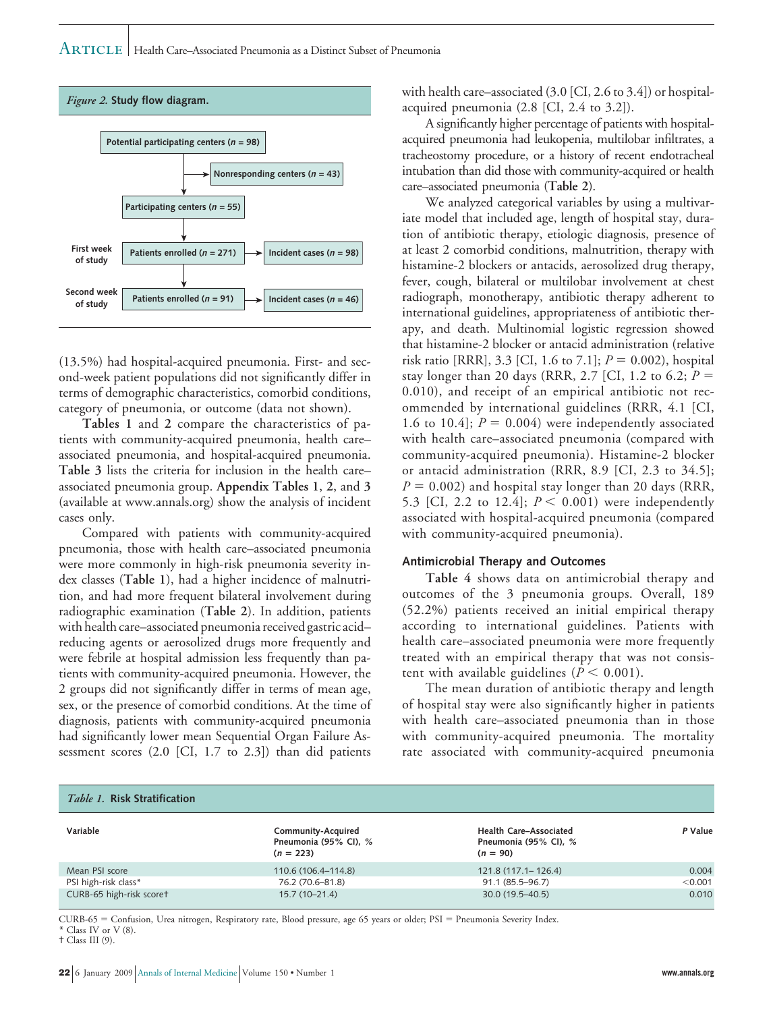

(13.5%) had hospital-acquired pneumonia. First- and second-week patient populations did not significantly differ in terms of demographic characteristics, comorbid conditions, category of pneumonia, or outcome (data not shown).

**Tables 1** and **2** compare the characteristics of patients with community-acquired pneumonia, health care– associated pneumonia, and hospital-acquired pneumonia. **Table 3** lists the criteria for inclusion in the health care– associated pneumonia group. **Appendix Tables 1**, **2**, and **3** (available at www.annals.org) show the analysis of incident cases only.

Compared with patients with community-acquired pneumonia, those with health care–associated pneumonia were more commonly in high-risk pneumonia severity index classes (**Table 1**), had a higher incidence of malnutrition, and had more frequent bilateral involvement during radiographic examination (**Table 2**). In addition, patients with health care–associated pneumonia received gastric acid– reducing agents or aerosolized drugs more frequently and were febrile at hospital admission less frequently than patients with community-acquired pneumonia. However, the 2 groups did not significantly differ in terms of mean age, sex, or the presence of comorbid conditions. At the time of diagnosis, patients with community-acquired pneumonia had significantly lower mean Sequential Organ Failure Assessment scores (2.0 [CI, 1.7 to 2.3]) than did patients

with health care–associated (3.0 [CI, 2.6 to 3.4]) or hospitalacquired pneumonia (2.8 [CI, 2.4 to 3.2]).

A significantly higher percentage of patients with hospitalacquired pneumonia had leukopenia, multilobar infiltrates, a tracheostomy procedure, or a history of recent endotracheal intubation than did those with community-acquired or health care–associated pneumonia (**Table 2**).

We analyzed categorical variables by using a multivariate model that included age, length of hospital stay, duration of antibiotic therapy, etiologic diagnosis, presence of at least 2 comorbid conditions, malnutrition, therapy with histamine-2 blockers or antacids, aerosolized drug therapy, fever, cough, bilateral or multilobar involvement at chest radiograph, monotherapy, antibiotic therapy adherent to international guidelines, appropriateness of antibiotic therapy, and death. Multinomial logistic regression showed that histamine-2 blocker or antacid administration (relative risk ratio [RRR], 3.3 [CI, 1.6 to 7.1];  $P = 0.002$ ), hospital stay longer than 20 days (RRR, 2.7 [CI, 1.2 to 6.2;  $P =$ 0.010), and receipt of an empirical antibiotic not recommended by international guidelines (RRR, 4.1 [CI, 1.6 to 10.4];  $P = 0.004$ ) were independently associated with health care–associated pneumonia (compared with community-acquired pneumonia). Histamine-2 blocker or antacid administration (RRR, 8.9 [CI, 2.3 to 34.5];  $P = 0.002$ ) and hospital stay longer than 20 days (RRR, 5.3 [CI, 2.2 to 12.4];  $P < 0.001$ ) were independently associated with hospital-acquired pneumonia (compared with community-acquired pneumonia).

#### **Antimicrobial Therapy and Outcomes**

**Table 4** shows data on antimicrobial therapy and outcomes of the 3 pneumonia groups. Overall, 189 (52.2%) patients received an initial empirical therapy according to international guidelines. Patients with health care–associated pneumonia were more frequently treated with an empirical therapy that was not consistent with available guidelines  $(P < 0.001)$ .

The mean duration of antibiotic therapy and length of hospital stay were also significantly higher in patients with health care–associated pneumonia than in those with community-acquired pneumonia. The mortality rate associated with community-acquired pneumonia

| <i>Table 1.</i> Risk Stratification |                                                            |                                                               |         |  |  |
|-------------------------------------|------------------------------------------------------------|---------------------------------------------------------------|---------|--|--|
| Variable                            | Community-Acquired<br>Pneumonia (95% CI), %<br>$(n = 223)$ | Health Care-Associated<br>Pneumonia (95% CI), %<br>$(n = 90)$ | P Value |  |  |
| Mean PSI score                      | 110.6 (106.4-114.8)                                        | 121.8 (117.1 – 126.4)                                         | 0.004   |  |  |
| PSI high-risk class*                | 76.2 (70.6-81.8)                                           | 91.1 (85.5-96.7)                                              | < 0.001 |  |  |
| CURB-65 high-risk scoret            | $15.7(10-21.4)$                                            | 30.0 (19.5–40.5)                                              | 0.010   |  |  |

CURB-65 = Confusion, Urea nitrogen, Respiratory rate, Blood pressure, age 65 years or older; PSI = Pneumonia Severity Index. \* Class IV or V (8).

<sup>†</sup> Class III (9).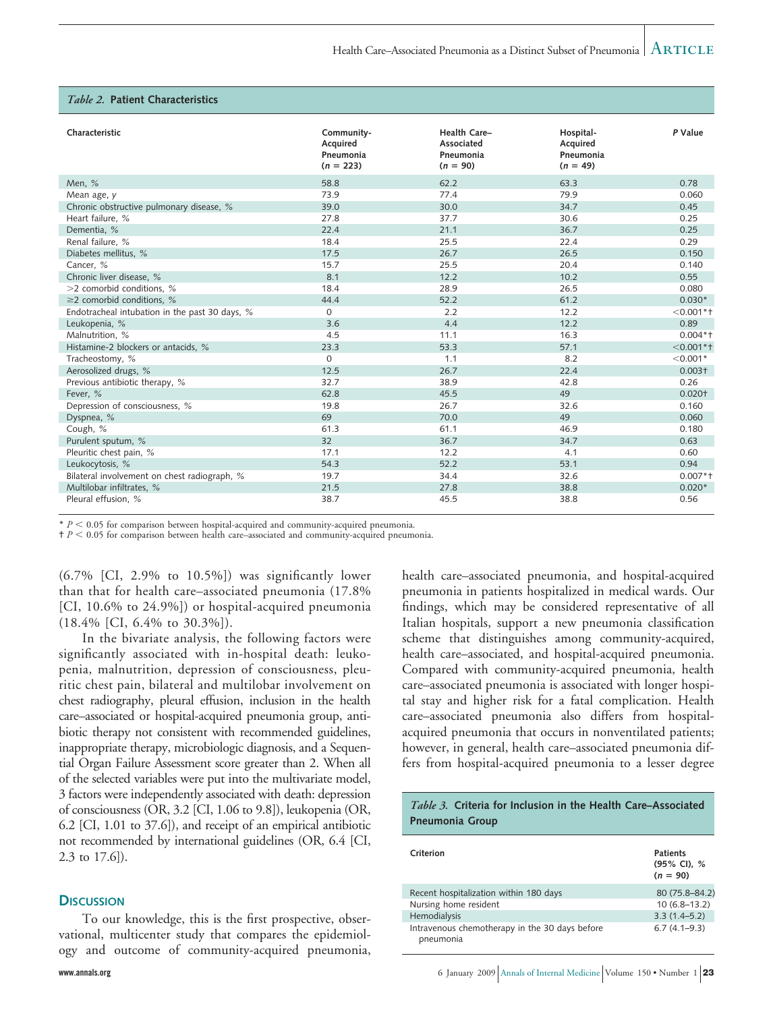#### *Table 2.* **Patient Characteristics**

| Characteristic                                 | Community-<br>Acquired<br>Pneumonia<br>$(n = 223)$ | Health Care-<br>Associated<br>Pneumonia<br>$(n = 90)$ | Hospital-<br>Acquired<br>Pneumonia<br>$(n = 49)$ | P Value      |
|------------------------------------------------|----------------------------------------------------|-------------------------------------------------------|--------------------------------------------------|--------------|
| Men, %                                         | 58.8                                               | 62.2                                                  | 63.3                                             | 0.78         |
| Mean age, y                                    | 73.9                                               | 77.4                                                  | 79.9                                             | 0.060        |
| Chronic obstructive pulmonary disease, %       | 39.0                                               | 30.0                                                  | 34.7                                             | 0.45         |
| Heart failure, %                               | 27.8                                               | 37.7                                                  | 30.6                                             | 0.25         |
| Dementia, %                                    | 22.4                                               | 21.1                                                  | 36.7                                             | 0.25         |
| Renal failure, %                               | 18.4                                               | 25.5                                                  | 22.4                                             | 0.29         |
| Diabetes mellitus, %                           | 17.5                                               | 26.7                                                  | 26.5                                             | 0.150        |
| Cancer, %                                      | 15.7                                               | 25.5                                                  | 20.4                                             | 0.140        |
| Chronic liver disease, %                       | 8.1                                                | 12.2                                                  | 10.2                                             | 0.55         |
| >2 comorbid conditions, %                      | 18.4                                               | 28.9                                                  | 26.5                                             | 0.080        |
| $\geq$ 2 comorbid conditions, %                | 44.4                                               | 52.2                                                  | 61.2                                             | $0.030*$     |
| Endotracheal intubation in the past 30 days, % | $\mathbf 0$                                        | 2.2                                                   | 12.2                                             | $< 0.001*$ + |
| Leukopenia, %                                  | 3.6                                                | 4.4                                                   | 12.2                                             | 0.89         |
| Malnutrition, %                                | 4.5                                                | 11.1                                                  | 16.3                                             | $0.004*$     |
| Histamine-2 blockers or antacids, %            | 23.3                                               | 53.3                                                  | 57.1                                             | $< 0.001$ *† |
| Tracheostomy, %                                | $\mathbf 0$                                        | 1.1                                                   | 8.2                                              | $< 0.001*$   |
| Aerosolized drugs, %                           | 12.5                                               | 26.7                                                  | 22.4                                             | $0.003+$     |
| Previous antibiotic therapy, %                 | 32.7                                               | 38.9                                                  | 42.8                                             | 0.26         |
| Fever, %                                       | 62.8                                               | 45.5                                                  | 49                                               | $0.020+$     |
| Depression of consciousness, %                 | 19.8                                               | 26.7                                                  | 32.6                                             | 0.160        |
| Dyspnea, %                                     | 69                                                 | 70.0                                                  | 49                                               | 0.060        |
| Cough, %                                       | 61.3                                               | 61.1                                                  | 46.9                                             | 0.180        |
| Purulent sputum, %                             | 32                                                 | 36.7                                                  | 34.7                                             | 0.63         |
| Pleuritic chest pain, %                        | 17.1                                               | 12.2                                                  | 4.1                                              | 0.60         |
| Leukocytosis, %                                | 54.3                                               | 52.2                                                  | 53.1                                             | 0.94         |
| Bilateral involvement on chest radiograph, %   | 19.7                                               | 34.4                                                  | 32.6                                             | $0.007*$ +   |
| Multilobar infiltrates, %                      | 21.5                                               | 27.8                                                  | 38.8                                             | $0.020*$     |
| Pleural effusion, %                            | 38.7                                               | 45.5                                                  | 38.8                                             | 0.56         |

\* *P* - 0.05 for comparison between hospital-acquired and community-acquired pneumonia.

† *P* - 0.05 for comparison between health care–associated and community-acquired pneumonia.

 $(6.7\%$  [CI, 2.9% to 10.5%]) was significantly lower than that for health care–associated pneumonia (17.8% [CI, 10.6% to 24.9%]) or hospital-acquired pneumonia (18.4% [CI, 6.4% to 30.3%]).

In the bivariate analysis, the following factors were significantly associated with in-hospital death: leukopenia, malnutrition, depression of consciousness, pleuritic chest pain, bilateral and multilobar involvement on chest radiography, pleural effusion, inclusion in the health care–associated or hospital-acquired pneumonia group, antibiotic therapy not consistent with recommended guidelines, inappropriate therapy, microbiologic diagnosis, and a Sequential Organ Failure Assessment score greater than 2. When all of the selected variables were put into the multivariate model, 3 factors were independently associated with death: depression of consciousness (OR, 3.2 [CI, 1.06 to 9.8]), leukopenia (OR, 6.2 [CI, 1.01 to 37.6]), and receipt of an empirical antibiotic not recommended by international guidelines (OR, 6.4 [CI, 2.3 to 17.6]).

#### **DISCUSSION**

To our knowledge, this is the first prospective, observational, multicenter study that compares the epidemiology and outcome of community-acquired pneumonia, pneumonia in patients hospitalized in medical wards. Our findings, which may be considered representative of all Italian hospitals, support a new pneumonia classification scheme that distinguishes among community-acquired, health care–associated, and hospital-acquired pneumonia. Compared with community-acquired pneumonia, health care–associated pneumonia is associated with longer hospital stay and higher risk for a fatal complication. Health care–associated pneumonia also differs from hospitalacquired pneumonia that occurs in nonventilated patients; however, in general, health care–associated pneumonia differs from hospital-acquired pneumonia to a lesser degree

health care–associated pneumonia, and hospital-acquired

#### *Table 3.* **Criteria for Inclusion in the Health Care–Associated Pneumonia Group**

| Criterion                                                   | <b>Patients</b><br>(95% CI), %<br>$(n = 90)$ |
|-------------------------------------------------------------|----------------------------------------------|
| Recent hospitalization within 180 days                      | 80 (75.8-84.2)                               |
| Nursing home resident                                       | $10(6.8 - 13.2)$                             |
| Hemodialysis                                                | $3.3(1.4-5.2)$                               |
| Intravenous chemotherapy in the 30 days before<br>pneumonia | $6.7(4.1 - 9.3)$                             |

**www.annals.org** 6 January 2009 Annals of Internal Medicine Volume 150 • Number 1 **23**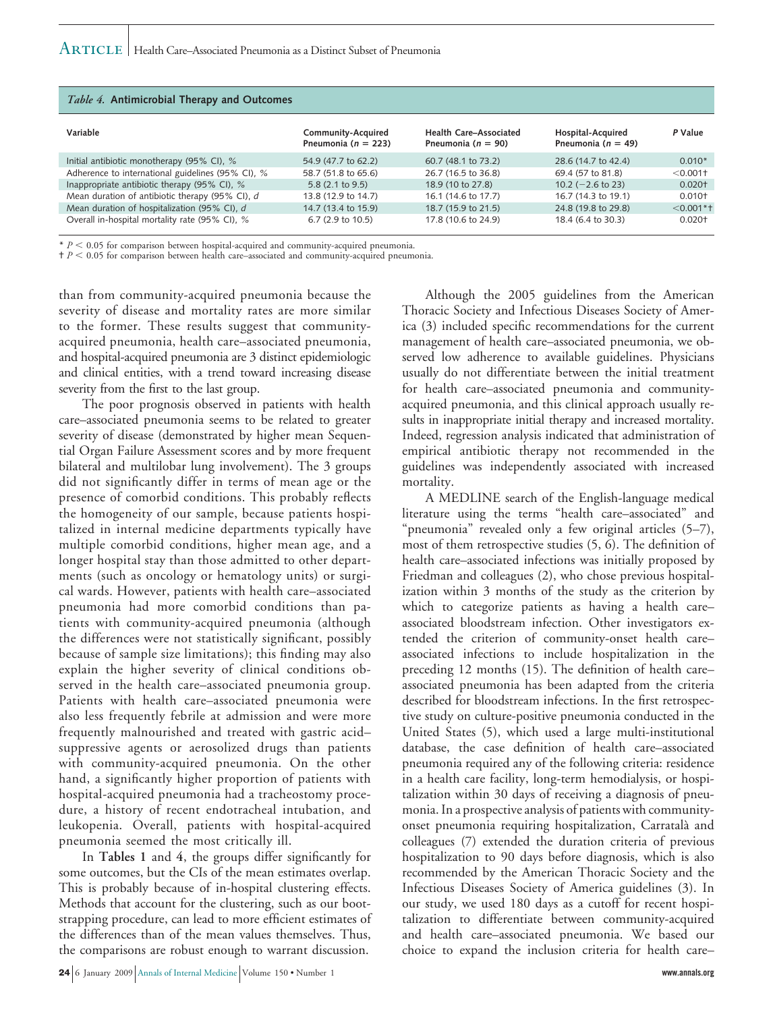| <i>Table 4.</i> Antimicrobial Therapy and Outcomes |                                                      |                                                         |                                             |              |
|----------------------------------------------------|------------------------------------------------------|---------------------------------------------------------|---------------------------------------------|--------------|
| Variable                                           | <b>Community-Acquired</b><br>Pneumonia ( $n = 223$ ) | <b>Health Care-Associated</b><br>Pneumonia ( $n = 90$ ) | Hospital-Acquired<br>Pneumonia ( $n = 49$ ) | P Value      |
| Initial antibiotic monotherapy (95% CI), %         | 54.9 (47.7 to 62.2)                                  | 60.7 (48.1 to 73.2)                                     | 28.6 (14.7 to 42.4)                         | $0.010*$     |
| Adherence to international guidelines (95% CI), %  | 58.7 (51.8 to 65.6)                                  | 26.7 (16.5 to 36.8)                                     | 69.4 (57 to 81.8)                           | $< 0.001$ +  |
| Inappropriate antibiotic therapy (95% CI), %       | $5.8(2.1 \text{ to } 9.5)$                           | 18.9 (10 to 27.8)                                       | $10.2$ (-2.6 to 23)                         | $0.020+$     |
| Mean duration of antibiotic therapy (95% CI), d    | 13.8 (12.9 to 14.7)                                  | 16.1 (14.6 to 17.7)                                     | 16.7 (14.3 to 19.1)                         | $0.010+$     |
| Mean duration of hospitalization (95% CI), d       | 14.7 (13.4 to 15.9)                                  | 18.7 (15.9 to 21.5)                                     | 24.8 (19.8 to 29.8)                         | $< 0.001$ *t |
| Overall in-hospital mortality rate (95% CI), %     | 6.7 (2.9 to 10.5)                                    | 17.8 (10.6 to 24.9)                                     | 18.4 (6.4 to 30.3)                          | $0.020+$     |

\*  $P$  < 0.05 for comparison between hospital-acquired and community-acquired pneumonia.

† *P* - 0.05 for comparison between health care–associated and community-acquired pneumonia.

than from community-acquired pneumonia because the severity of disease and mortality rates are more similar to the former. These results suggest that communityacquired pneumonia, health care–associated pneumonia, and hospital-acquired pneumonia are 3 distinct epidemiologic and clinical entities, with a trend toward increasing disease severity from the first to the last group.

The poor prognosis observed in patients with health care–associated pneumonia seems to be related to greater severity of disease (demonstrated by higher mean Sequential Organ Failure Assessment scores and by more frequent bilateral and multilobar lung involvement). The 3 groups did not significantly differ in terms of mean age or the presence of comorbid conditions. This probably reflects the homogeneity of our sample, because patients hospitalized in internal medicine departments typically have multiple comorbid conditions, higher mean age, and a longer hospital stay than those admitted to other departments (such as oncology or hematology units) or surgical wards. However, patients with health care–associated pneumonia had more comorbid conditions than patients with community-acquired pneumonia (although the differences were not statistically significant, possibly because of sample size limitations); this finding may also explain the higher severity of clinical conditions observed in the health care–associated pneumonia group. Patients with health care–associated pneumonia were also less frequently febrile at admission and were more frequently malnourished and treated with gastric acid– suppressive agents or aerosolized drugs than patients with community-acquired pneumonia. On the other hand, a significantly higher proportion of patients with hospital-acquired pneumonia had a tracheostomy procedure, a history of recent endotracheal intubation, and leukopenia. Overall, patients with hospital-acquired pneumonia seemed the most critically ill.

In **Tables 1** and **4**, the groups differ significantly for some outcomes, but the CIs of the mean estimates overlap. This is probably because of in-hospital clustering effects. Methods that account for the clustering, such as our bootstrapping procedure, can lead to more efficient estimates of the differences than of the mean values themselves. Thus, the comparisons are robust enough to warrant discussion.

Although the 2005 guidelines from the American Thoracic Society and Infectious Diseases Society of America (3) included specific recommendations for the current management of health care–associated pneumonia, we observed low adherence to available guidelines. Physicians usually do not differentiate between the initial treatment for health care–associated pneumonia and communityacquired pneumonia, and this clinical approach usually results in inappropriate initial therapy and increased mortality. Indeed, regression analysis indicated that administration of empirical antibiotic therapy not recommended in the guidelines was independently associated with increased mortality.

A MEDLINE search of the English-language medical literature using the terms "health care–associated" and "pneumonia" revealed only a few original articles (5–7), most of them retrospective studies (5, 6). The definition of health care–associated infections was initially proposed by Friedman and colleagues (2), who chose previous hospitalization within 3 months of the study as the criterion by which to categorize patients as having a health care– associated bloodstream infection. Other investigators extended the criterion of community-onset health care– associated infections to include hospitalization in the preceding 12 months (15). The definition of health care– associated pneumonia has been adapted from the criteria described for bloodstream infections. In the first retrospective study on culture-positive pneumonia conducted in the United States (5), which used a large multi-institutional database, the case definition of health care–associated pneumonia required any of the following criteria: residence in a health care facility, long-term hemodialysis, or hospitalization within 30 days of receiving a diagnosis of pneumonia. In a prospective analysis of patients with communityonset pneumonia requiring hospitalization, Carratala` and colleagues (7) extended the duration criteria of previous hospitalization to 90 days before diagnosis, which is also recommended by the American Thoracic Society and the Infectious Diseases Society of America guidelines (3). In our study, we used 180 days as a cutoff for recent hospitalization to differentiate between community-acquired and health care–associated pneumonia. We based our choice to expand the inclusion criteria for health care–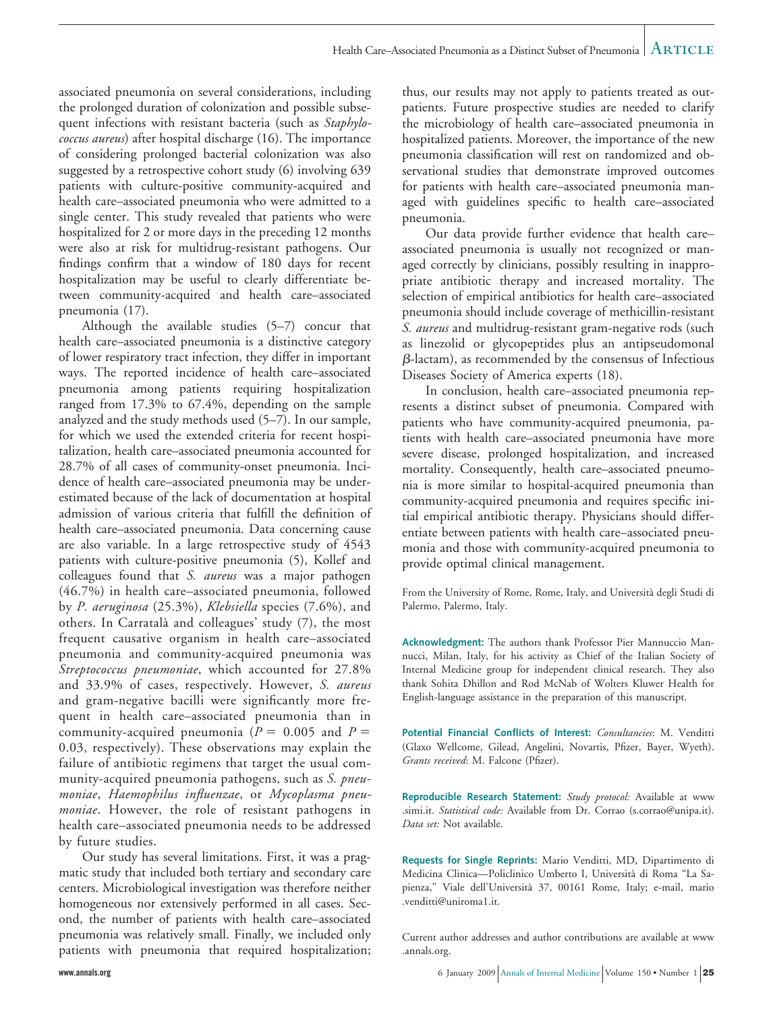associated pneumonia on several considerations, including the prolonged duration of colonization and possible subsequent infections with resistant bacteria (such as *Staphylococcus aureus*) after hospital discharge (16). The importance of considering prolonged bacterial colonization was also suggested by a retrospective cohort study (6) involving 639 patients with culture-positive community-acquired and health care–associated pneumonia who were admitted to a single center. This study revealed that patients who were hospitalized for 2 or more days in the preceding 12 months were also at risk for multidrug-resistant pathogens. Our findings confirm that a window of 180 days for recent hospitalization may be useful to clearly differentiate between community-acquired and health care–associated pneumonia (17).

Although the available studies (5–7) concur that health care–associated pneumonia is a distinctive category of lower respiratory tract infection, they differ in important ways. The reported incidence of health care–associated pneumonia among patients requiring hospitalization ranged from 17.3% to 67.4%, depending on the sample analyzed and the study methods used (5–7). In our sample, for which we used the extended criteria for recent hospitalization, health care–associated pneumonia accounted for 28.7% of all cases of community-onset pneumonia. Incidence of health care–associated pneumonia may be underestimated because of the lack of documentation at hospital admission of various criteria that fulfill the definition of health care–associated pneumonia. Data concerning cause are also variable. In a large retrospective study of 4543 patients with culture-positive pneumonia (5), Kollef and colleagues found that *S. aureus* was a major pathogen (46.7%) in health care–associated pneumonia, followed by *P. aeruginosa* (25.3%), *Klebsiella* species (7.6%), and others. In Carratala` and colleagues' study (7), the most frequent causative organism in health care–associated pneumonia and community-acquired pneumonia was *Streptococcus pneumoniae*, which accounted for 27.8% and 33.9% of cases, respectively. However, *S. aureus* and gram-negative bacilli were significantly more frequent in health care–associated pneumonia than in community-acquired pneumonia ( $P = 0.005$  and  $P =$ 0.03, respectively). These observations may explain the failure of antibiotic regimens that target the usual community-acquired pneumonia pathogens, such as *S. pneumoniae*, *Haemophilus influenzae*, or *Mycoplasma pneumoniae*. However, the role of resistant pathogens in health care–associated pneumonia needs to be addressed by future studies.

Our study has several limitations. First, it was a pragmatic study that included both tertiary and secondary care centers. Microbiological investigation was therefore neither homogeneous nor extensively performed in all cases. Second, the number of patients with health care–associated pneumonia was relatively small. Finally, we included only patients with pneumonia that required hospitalization;

thus, our results may not apply to patients treated as outpatients. Future prospective studies are needed to clarify the microbiology of health care–associated pneumonia in hospitalized patients. Moreover, the importance of the new pneumonia classification will rest on randomized and observational studies that demonstrate improved outcomes for patients with health care–associated pneumonia managed with guidelines specific to health care–associated pneumonia.

Our data provide further evidence that health care– associated pneumonia is usually not recognized or managed correctly by clinicians, possibly resulting in inappropriate antibiotic therapy and increased mortality. The selection of empirical antibiotics for health care–associated pneumonia should include coverage of methicillin-resistant *S. aureus* and multidrug-resistant gram-negative rods (such as linezolid or glycopeptides plus an antipseudomonal  $\beta$ -lactam), as recommended by the consensus of Infectious Diseases Society of America experts (18).

In conclusion, health care–associated pneumonia represents a distinct subset of pneumonia. Compared with patients who have community-acquired pneumonia, patients with health care–associated pneumonia have more severe disease, prolonged hospitalization, and increased mortality. Consequently, health care–associated pneumonia is more similar to hospital-acquired pneumonia than community-acquired pneumonia and requires specific initial empirical antibiotic therapy. Physicians should differentiate between patients with health care–associated pneumonia and those with community-acquired pneumonia to provide optimal clinical management.

From the University of Rome, Rome, Italy, and Universita` degli Studi di Palermo, Palermo, Italy.

**Acknowledgment:** The authors thank Professor Pier Mannuccio Mannucci, Milan, Italy, for his activity as Chief of the Italian Society of Internal Medicine group for independent clinical research. They also thank Sohita Dhillon and Rod McNab of Wolters Kluwer Health for English-language assistance in the preparation of this manuscript.

**Potential Financial Conflicts of Interest:** *Consultancies*: M. Venditti (Glaxo Wellcome, Gilead, Angelini, Novartis, Pfizer, Bayer, Wyeth). *Grants received*: M. Falcone (Pfizer).

**Reproducible Research Statement:** *Study protocol:* Available at www .simi.it. *Statistical code:* Available from Dr. Corrao (s.corrao@unipa.it). *Data set:* Not available.

**Requests for Single Reprints:** Mario Venditti, MD, Dipartimento di Medicina Clinica—Policlinico Umberto I, Universita` di Roma "La Sapienza," Viale dell'Universita` 37, 00161 Rome, Italy; e-mail, mario .venditti@uniroma1.it.

Current author addresses and author contributions are available at www .annals.org.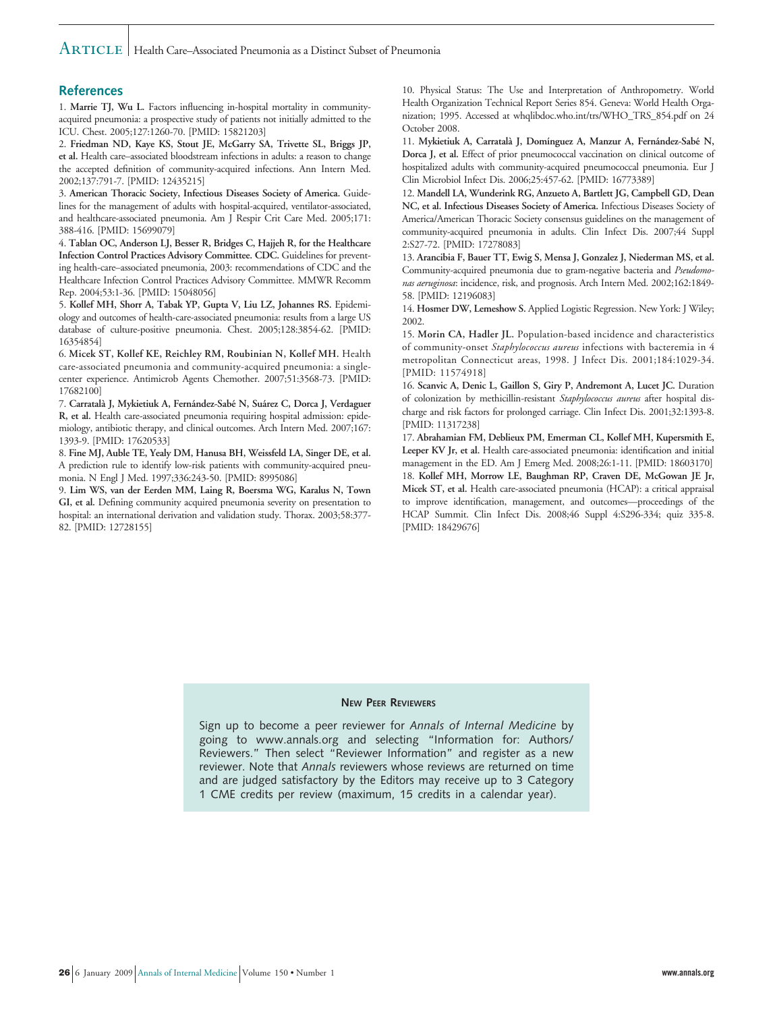#### $\rm ARTICLE$  | Health Care–Associated Pneumonia as a Distinct Subset of Pneumonia

#### **References**

1. **Marrie TJ, Wu L.** Factors influencing in-hospital mortality in communityacquired pneumonia: a prospective study of patients not initially admitted to the ICU. Chest. 2005;127:1260-70. [PMID: 15821203]

2. **Friedman ND, Kaye KS, Stout JE, McGarry SA, Trivette SL, Briggs JP, et al.** Health care–associated bloodstream infections in adults: a reason to change the accepted definition of community-acquired infections. Ann Intern Med. 2002;137:791-7. [PMID: 12435215]

3. **American Thoracic Society, Infectious Diseases Society of America.** Guidelines for the management of adults with hospital-acquired, ventilator-associated, and healthcare-associated pneumonia. Am J Respir Crit Care Med. 2005;171: 388-416. [PMID: 15699079]

4. **Tablan OC, Anderson LJ, Besser R, Bridges C, Hajjeh R, for the Healthcare Infection Control Practices Advisory Committee. CDC.** Guidelines for preventing health-care–associated pneumonia, 2003: recommendations of CDC and the Healthcare Infection Control Practices Advisory Committee. MMWR Recomm Rep. 2004;53:1-36. [PMID: 15048056]

5. **Kollef MH, Shorr A, Tabak YP, Gupta V, Liu LZ, Johannes RS.** Epidemiology and outcomes of health-care-associated pneumonia: results from a large US database of culture-positive pneumonia. Chest. 2005;128:3854-62. [PMID: 16354854]

6. **Micek ST, Kollef KE, Reichley RM, Roubinian N, Kollef MH.** Health care-associated pneumonia and community-acquired pneumonia: a singlecenter experience. Antimicrob Agents Chemother. 2007;51:3568-73. [PMID: 17682100]

7. **Carratala` J, Mykietiuk A, Ferna´ndez-Sabe´ N, Sua´rez C, Dorca J, Verdaguer R, et al.** Health care-associated pneumonia requiring hospital admission: epidemiology, antibiotic therapy, and clinical outcomes. Arch Intern Med. 2007;167: 1393-9. [PMID: 17620533]

8. **Fine MJ, Auble TE, Yealy DM, Hanusa BH, Weissfeld LA, Singer DE, et al.** A prediction rule to identify low-risk patients with community-acquired pneumonia. N Engl J Med. 1997;336:243-50. [PMID: 8995086]

9. **Lim WS, van der Eerden MM, Laing R, Boersma WG, Karalus N, Town GI, et al.** Defining community acquired pneumonia severity on presentation to hospital: an international derivation and validation study. Thorax. 2003;58:377- 82. [PMID: 12728155]

10. Physical Status: The Use and Interpretation of Anthropometry. World Health Organization Technical Report Series 854. Geneva: World Health Organization; 1995. Accessed at whqlibdoc.who.int/trs/WHO\_TRS\_854.pdf on 24 October 2008.

11. Mykietiuk A, Carratalà J, Domínguez A, Manzur A, Fernández-Sabé N, **Dorca J, et al.** Effect of prior pneumococcal vaccination on clinical outcome of hospitalized adults with community-acquired pneumococcal pneumonia. Eur J Clin Microbiol Infect Dis. 2006;25:457-62. [PMID: 16773389]

12. **Mandell LA, Wunderink RG, Anzueto A, Bartlett JG, Campbell GD, Dean NC, et al. Infectious Diseases Society of America.** Infectious Diseases Society of America/American Thoracic Society consensus guidelines on the management of community-acquired pneumonia in adults. Clin Infect Dis. 2007;44 Suppl 2:S27-72. [PMID: 17278083]

13. **Arancibia F, Bauer TT, Ewig S, Mensa J, Gonzalez J, Niederman MS, et al.** Community-acquired pneumonia due to gram-negative bacteria and *Pseudomonas aeruginosa*: incidence, risk, and prognosis. Arch Intern Med. 2002;162:1849- 58. [PMID: 12196083]

14. **Hosmer DW, Lemeshow S.** Applied Logistic Regression. New York: J Wiley; 2002.

15. **Morin CA, Hadler JL.** Population-based incidence and characteristics of community-onset *Staphylococcus aureus* infections with bacteremia in 4 metropolitan Connecticut areas, 1998. J Infect Dis. 2001;184:1029-34. [PMID: 11574918]

16. **Scanvic A, Denic L, Gaillon S, Giry P, Andremont A, Lucet JC.** Duration of colonization by methicillin-resistant *Staphylococcus aureus* after hospital discharge and risk factors for prolonged carriage. Clin Infect Dis. 2001;32:1393-8. [PMID: 11317238]

17. **Abrahamian FM, Deblieux PM, Emerman CL, Kollef MH, Kupersmith E, Leeper KV Jr, et al.** Health care-associated pneumonia: identification and initial management in the ED. Am J Emerg Med. 2008;26:1-11. [PMID: 18603170] 18. **Kollef MH, Morrow LE, Baughman RP, Craven DE, McGowan JE Jr, Micek ST, et al.** Health care-associated pneumonia (HCAP): a critical appraisal to improve identification, management, and outcomes—proceedings of the HCAP Summit. Clin Infect Dis. 2008;46 Suppl 4:S296-334; quiz 335-8. [PMID: 18429676]

#### **NEW PEER REVIEWERS**

Sign up to become a peer reviewer for *Annals of Internal Medicine* by going to www.annals.org and selecting "Information for: Authors/ Reviewers." Then select "Reviewer Information" and register as a new reviewer. Note that *Annals* reviewers whose reviews are returned on time and are judged satisfactory by the Editors may receive up to 3 Category 1 CME credits per review (maximum, 15 credits in a calendar year).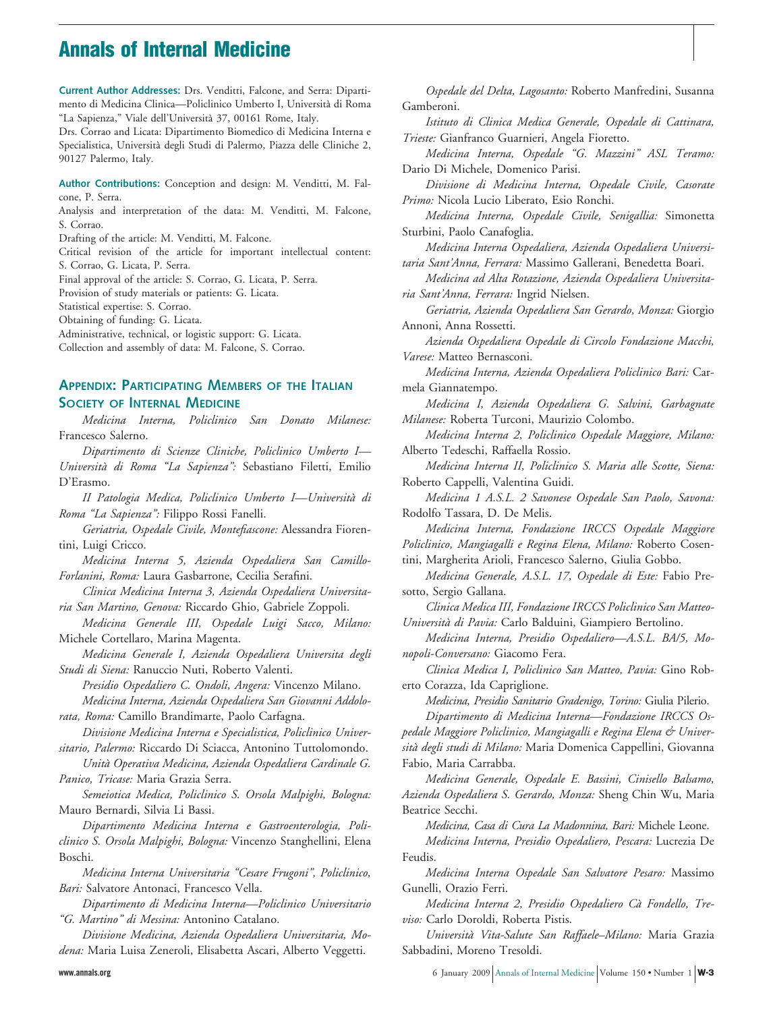# **Annals of Internal Medicine**

**Current Author Addresses:** Drs. Venditti, Falcone, and Serra: Dipartimento di Medicina Clinica—Policlinico Umberto I, Universita` di Roma "La Sapienza," Viale dell'Universita` 37, 00161 Rome, Italy.

Drs. Corrao and Licata: Dipartimento Biomedico di Medicina Interna e Specialistica, Universita` degli Studi di Palermo, Piazza delle Cliniche 2, 90127 Palermo, Italy.

**Author Contributions:** Conception and design: M. Venditti, M. Falcone, P. Serra.

Analysis and interpretation of the data: M. Venditti, M. Falcone, S. Corrao.

Drafting of the article: M. Venditti, M. Falcone.

Critical revision of the article for important intellectual content: S. Corrao, G. Licata, P. Serra.

Final approval of the article: S. Corrao, G. Licata, P. Serra.

Provision of study materials or patients: G. Licata.

Statistical expertise: S. Corrao.

Obtaining of funding: G. Licata.

Administrative, technical, or logistic support: G. Licata. Collection and assembly of data: M. Falcone, S. Corrao.

#### **APPENDIX: PARTICIPATING MEMBERS OF THE ITALIAN SOCIETY OF INTERNAL MEDICINE**

*Medicina Interna, Policlinico San Donato Milanese:* Francesco Salerno.

*Dipartimento di Scienze Cliniche, Policlinico Umberto I— Universita` di Roma "La Sapienza":* Sebastiano Filetti, Emilio D'Erasmo.

*II Patologia Medica, Policlinico Umberto I—Universita` di Roma "La Sapienza":* Filippo Rossi Fanelli.

*Geriatria, Ospedale Civile, Montefiascone:* Alessandra Fiorentini, Luigi Cricco.

*Medicina Interna 5, Azienda Ospedaliera San Camillo-Forlanini, Roma:* Laura Gasbarrone, Cecilia Serafini.

*Clinica Medicina Interna 3, Azienda Ospedaliera Universitaria San Martino, Genova:* Riccardo Ghio, Gabriele Zoppoli.

*Medicina Generale III, Ospedale Luigi Sacco, Milano:* Michele Cortellaro, Marina Magenta.

*Medicina Generale I, Azienda Ospedaliera Universita degli Studi di Siena:* Ranuccio Nuti, Roberto Valenti.

*Presidio Ospedaliero C. Ondoli, Angera:* Vincenzo Milano. *Medicina Interna, Azienda Ospedaliera San Giovanni Addolo-*

*rata, Roma:* Camillo Brandimarte, Paolo Carfagna. *Divisione Medicina Interna e Specialistica, Policlinico Univer-*

*sitario, Palermo:* Riccardo Di Sciacca, Antonino Tuttolomondo. *Unita` Operativa Medicina, Azienda Ospedaliera Cardinale G.*

*Panico, Tricase:* Maria Grazia Serra.

*Semeiotica Medica, Policlinico S. Orsola Malpighi, Bologna:* Mauro Bernardi, Silvia Li Bassi.

*Dipartimento Medicina Interna e Gastroenterologia, Policlinico S. Orsola Malpighi, Bologna:* Vincenzo Stanghellini, Elena Boschi.

*Medicina Interna Universitaria "Cesare Frugoni", Policlinico, Bari:* Salvatore Antonaci, Francesco Vella.

*Dipartimento di Medicina Interna—Policlinico Universitario "G. Martino" di Messina:* Antonino Catalano.

*Divisione Medicina, Azienda Ospedaliera Universitaria, Modena:* Maria Luisa Zeneroli, Elisabetta Ascari, Alberto Veggetti.

*Ospedale del Delta, Lagosanto:* Roberto Manfredini, Susanna Gamberoni.

*Istituto di Clinica Medica Generale, Ospedale di Cattinara, Trieste:* Gianfranco Guarnieri, Angela Fioretto.

*Medicina Interna, Ospedale "G. Mazzini" ASL Teramo:* Dario Di Michele, Domenico Parisi.

*Divisione di Medicina Interna, Ospedale Civile, Casorate Primo:* Nicola Lucio Liberato, Esio Ronchi.

*Medicina Interna, Ospedale Civile, Senigallia:* Simonetta Sturbini, Paolo Canafoglia.

*Medicina Interna Ospedaliera, Azienda Ospedaliera Universitaria Sant'Anna, Ferrara:* Massimo Gallerani, Benedetta Boari.

*Medicina ad Alta Rotazione, Azienda Ospedaliera Universitaria Sant'Anna, Ferrara:* Ingrid Nielsen.

*Geriatria, Azienda Ospedaliera San Gerardo, Monza:* Giorgio Annoni, Anna Rossetti.

*Azienda Ospedaliera Ospedale di Circolo Fondazione Macchi, Varese:* Matteo Bernasconi.

*Medicina Interna, Azienda Ospedaliera Policlinico Bari:* Carmela Giannatempo.

*Medicina I, Azienda Ospedaliera G. Salvini, Garbagnate Milanese:* Roberta Turconi, Maurizio Colombo.

*Medicina Interna 2, Policlinico Ospedale Maggiore, Milano:* Alberto Tedeschi, Raffaella Rossio.

*Medicina Interna II, Policlinico S. Maria alle Scotte, Siena:* Roberto Cappelli, Valentina Guidi.

*Medicina 1 A.S.L. 2 Savonese Ospedale San Paolo, Savona:* Rodolfo Tassara, D. De Melis.

*Medicina Interna, Fondazione IRCCS Ospedale Maggiore Policlinico, Mangiagalli e Regina Elena, Milano:* Roberto Cosentini, Margherita Arioli, Francesco Salerno, Giulia Gobbo.

*Medicina Generale, A.S.L. 17, Ospedale di Este:* Fabio Presotto, Sergio Gallana.

*Clinica Medica III, Fondazione IRCCS Policlinico San Matteo-Universita` di Pavia:* Carlo Balduini, Giampiero Bertolino.

*Medicina Interna, Presidio Ospedaliero—A.S.L. BA/5, Monopoli-Conversano:* Giacomo Fera.

*Clinica Medica I, Policlinico San Matteo, Pavia:* Gino Roberto Corazza, Ida Capriglione.

*Medicina, Presidio Sanitario Gradenigo, Torino:* Giulia Pilerio.

*Dipartimento di Medicina Interna—Fondazione IRCCS Ospedale Maggiore Policlinico, Mangiagalli e Regina Elena & Universita` degli studi di Milano:* Maria Domenica Cappellini, Giovanna Fabio, Maria Carrabba.

*Medicina Generale, Ospedale E. Bassini, Cinisello Balsamo, Azienda Ospedaliera S. Gerardo, Monza:* Sheng Chin Wu, Maria Beatrice Secchi.

*Medicina, Casa di Cura La Madonnina, Bari:* Michele Leone.

*Medicina Interna, Presidio Ospedaliero, Pescara:* Lucrezia De Feudis.

*Medicina Interna Ospedale San Salvatore Pesaro:* Massimo Gunelli, Orazio Ferri.

*Medicina Interna 2, Presidio Ospedaliero Ca` Fondello, Treviso:* Carlo Doroldi, Roberta Pistis.

*Universita` Vita-Salute San Raffaele–Milano:* Maria Grazia Sabbadini, Moreno Tresoldi.

**www.annals.org** 6 January 2009 Annals of Internal Medicine Volume 150 • Number 1 **W-3**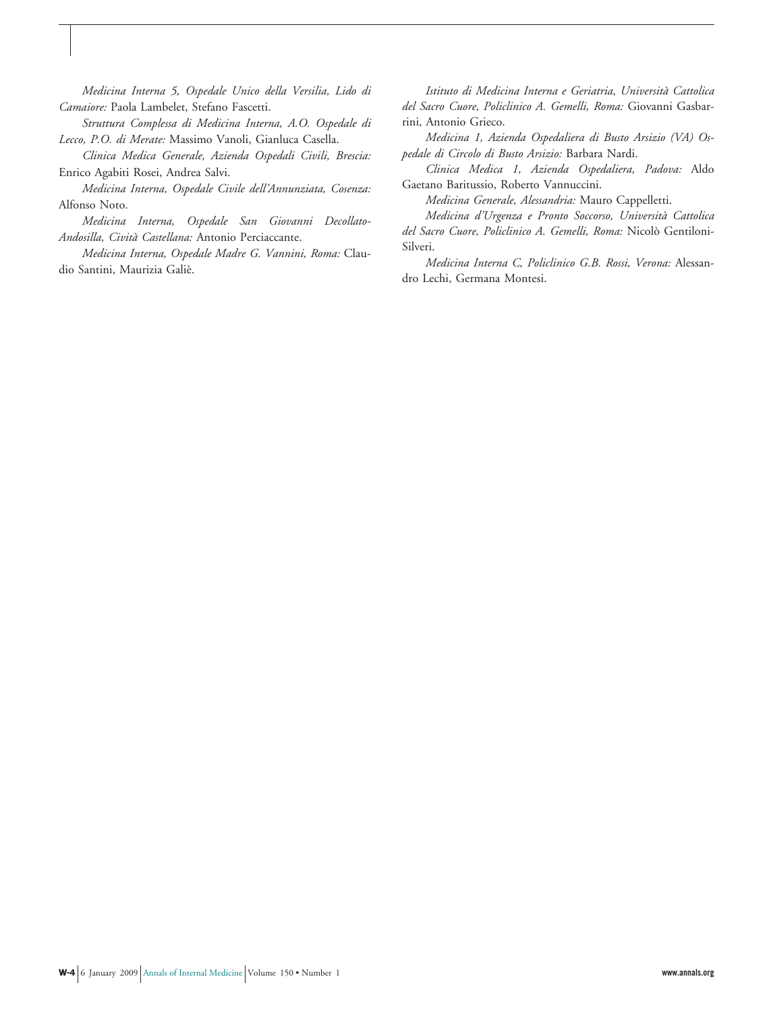*Medicina Interna 5, Ospedale Unico della Versilia, Lido di Camaiore:* Paola Lambelet, Stefano Fascetti.

*Struttura Complessa di Medicina Interna, A.O. Ospedale di Lecco, P.O. di Merate:* Massimo Vanoli, Gianluca Casella.

*Clinica Medica Generale, Azienda Ospedali Civili, Brescia:* Enrico Agabiti Rosei, Andrea Salvi.

*Medicina Interna, Ospedale Civile dell'Annunziata, Cosenza:* Alfonso Noto.

*Medicina Interna, Ospedale San Giovanni Decollato-Andosilla, Civita` Castellana:* Antonio Perciaccante.

*Medicina Interna, Ospedale Madre G. Vannini, Roma:* Claudio Santini, Maurizia Galiè.

*Istituto di Medicina Interna e Geriatria, Universita` Cattolica del Sacro Cuore, Policlinico A. Gemelli, Roma:* Giovanni Gasbarrini, Antonio Grieco.

*Medicina 1, Azienda Ospedaliera di Busto Arsizio (VA) Ospedale di Circolo di Busto Arsizio:* Barbara Nardi.

*Clinica Medica 1, Azienda Ospedaliera, Padova:* Aldo Gaetano Baritussio, Roberto Vannuccini.

*Medicina Generale, Alessandria:* Mauro Cappelletti.

*Medicina d'Urgenza e Pronto Soccorso, Universita` Cattolica del Sacro Cuore, Policlinico A. Gemelli, Roma:* Nicolo` Gentiloni-Silveri.

*Medicina Interna C, Policlinico G.B. Rossi, Verona:* Alessandro Lechi, Germana Montesi.